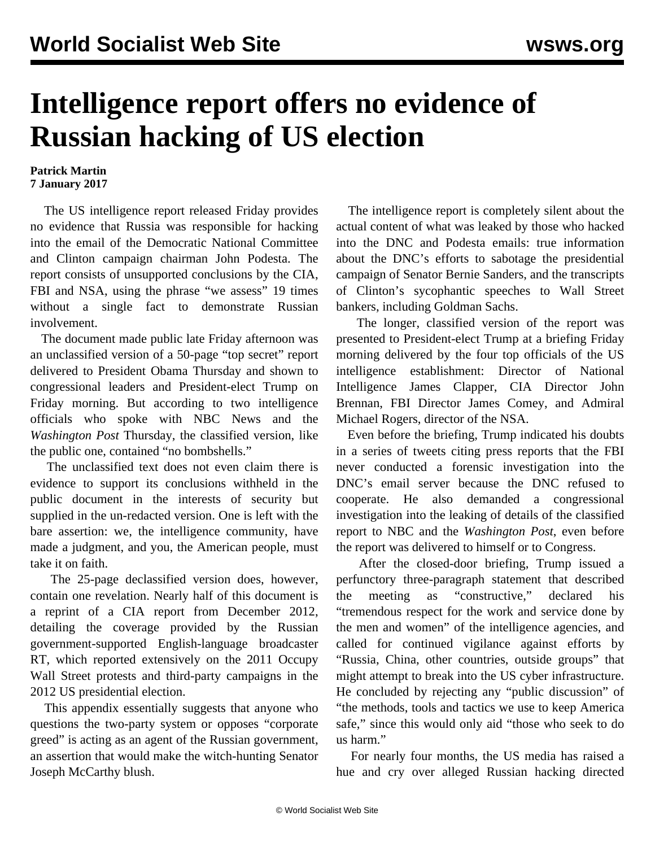## **Intelligence report offers no evidence of Russian hacking of US election**

## **Patrick Martin 7 January 2017**

 The US intelligence report released Friday provides no evidence that Russia was responsible for hacking into the email of the Democratic National Committee and Clinton campaign chairman John Podesta. The report consists of unsupported conclusions by the CIA, FBI and NSA, using the phrase "we assess" 19 times without a single fact to demonstrate Russian involvement.

 The document made public late Friday afternoon was an unclassified version of a 50-page "top secret" report delivered to President Obama Thursday and shown to congressional leaders and President-elect Trump on Friday morning. But according to two intelligence officials who spoke with NBC News and the *Washington Post* Thursday, the classified version, like the public one, contained "no bombshells."

 The unclassified text does not even claim there is evidence to support its conclusions withheld in the public document in the interests of security but supplied in the un-redacted version. One is left with the bare assertion: we, the intelligence community, have made a judgment, and you, the American people, must take it on faith.

 The 25-page declassified version does, however, contain one revelation. Nearly half of this document is a reprint of a CIA report from December 2012, detailing the coverage provided by the Russian government-supported English-language broadcaster RT, which reported extensively on the 2011 Occupy Wall Street protests and third-party campaigns in the 2012 US presidential election.

 This appendix essentially suggests that anyone who questions the two-party system or opposes "corporate greed" is acting as an agent of the Russian government, an assertion that would make the witch-hunting Senator Joseph McCarthy blush.

 The intelligence report is completely silent about the actual content of what was leaked by those who hacked into the DNC and Podesta emails: true information about the DNC's efforts to sabotage the presidential campaign of Senator Bernie Sanders, and the transcripts of Clinton's sycophantic speeches to Wall Street bankers, including Goldman Sachs.

 The longer, classified version of the report was presented to President-elect Trump at a briefing Friday morning delivered by the four top officials of the US intelligence establishment: Director of National Intelligence James Clapper, CIA Director John Brennan, FBI Director James Comey, and Admiral Michael Rogers, director of the NSA.

 Even before the briefing, Trump indicated his doubts in a series of tweets citing press reports that the FBI never conducted a forensic investigation into the DNC's email server because the DNC refused to cooperate. He also demanded a congressional investigation into the leaking of details of the classified report to NBC and the *Washington Post*, even before the report was delivered to himself or to Congress.

 After the closed-door briefing, Trump issued a perfunctory three-paragraph statement that described the meeting as "constructive," declared his "tremendous respect for the work and service done by the men and women" of the intelligence agencies, and called for continued vigilance against efforts by "Russia, China, other countries, outside groups" that might attempt to break into the US cyber infrastructure. He concluded by rejecting any "public discussion" of "the methods, tools and tactics we use to keep America safe," since this would only aid "those who seek to do us harm."

 For nearly four months, the US media has raised a hue and cry over alleged Russian hacking directed